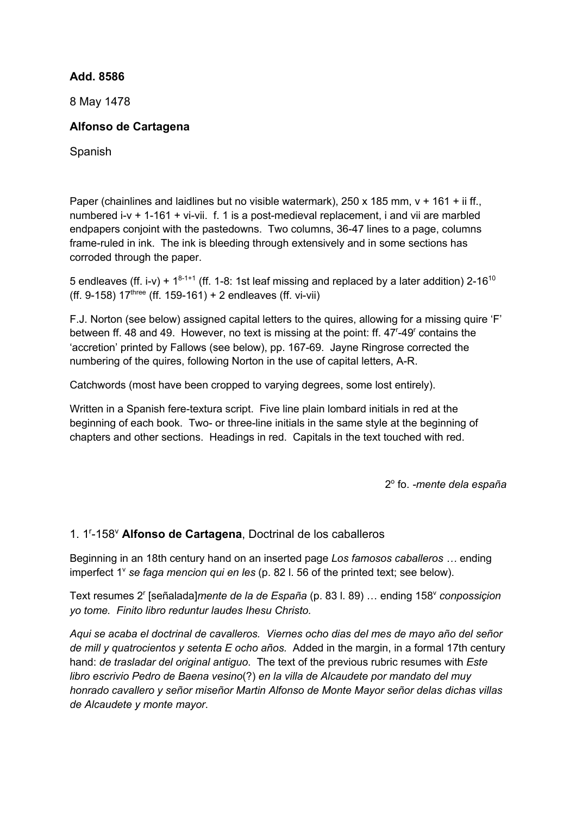## **Add. 8586**

8 May 1478

## **Alfonso de Cartagena**

Spanish

Paper (chainlines and laidlines but no visible watermark),  $250 \times 185$  mm,  $v + 161 + i$  if., numbered i-v + 1-161 + vi-vii. f. 1 is a post-medieval replacement, i and vii are marbled endpapers conjoint with the pastedowns. Two columns, 36-47 lines to a page, columns frame-ruled in ink. The ink is bleeding through extensively and in some sections has corroded through the paper.

5 endleaves (ff. i-v) +  $1^{8-1+1}$  (ff. 1-8: 1st leaf missing and replaced by a later addition) 2-16<sup>10</sup> (ff. 9-158)  $17^{\text{three}}$  (ff. 159-161) + 2 endleaves (ff. vi-vii)

F.J. Norton (see below) assigned capital letters to the quires, allowing for a missing quire 'F' between ff. 48 and 49. However, no text is missing at the point: ff. 47<sup>r</sup>-49<sup>r</sup> contains the 'accretion' printed by Fallows (see below), pp. 167-69. Jayne Ringrose corrected the numbering of the quires, following Norton in the use of capital letters, A-R.

Catchwords (most have been cropped to varying degrees, some lost entirely).

Written in a Spanish fere-textura script. Five line plain lombard initials in red at the beginning of each book. Two- or three-line initials in the same style at the beginning of chapters and other sections. Headings in red. Capitals in the text touched with red.

2o fo. *-mente dela españa*

## 1. 1r -158v **Alfonso de Cartagena**, Doctrinal de los caballeros

Beginning in an 18th century hand on an inserted page *Los famosos caballeros …* ending imperfect 1<sup>v</sup> se faga mencion qui en les (p. 82 l. 56 of the printed text; see below).

Text resumes 2<sup>r</sup> [señalada]*mente de la de España* (p. 83 l. 89) ... ending 158<sup>*v*</sup> *conpossiçion yo tome. Finito libro reduntur laudes Ihesu Christo.* 

*Aqui se acaba el doctrinal de cavalleros. Viernes ocho dias del mes de mayo año del señor de mill y quatrocientos y setenta E ocho años.* Added in the margin, in a formal 17th century hand: *de trasladar del original antiguo*. The text of the previous rubric resumes with *Este libro escrivio Pedro de Baena vesino*(?) *en la villa de Alcaudete por mandato del muy honrado cavallero y señor miseñor Martin Alfonso de Monte Mayor señor delas dichas villas de Alcaudete y monte mayor*.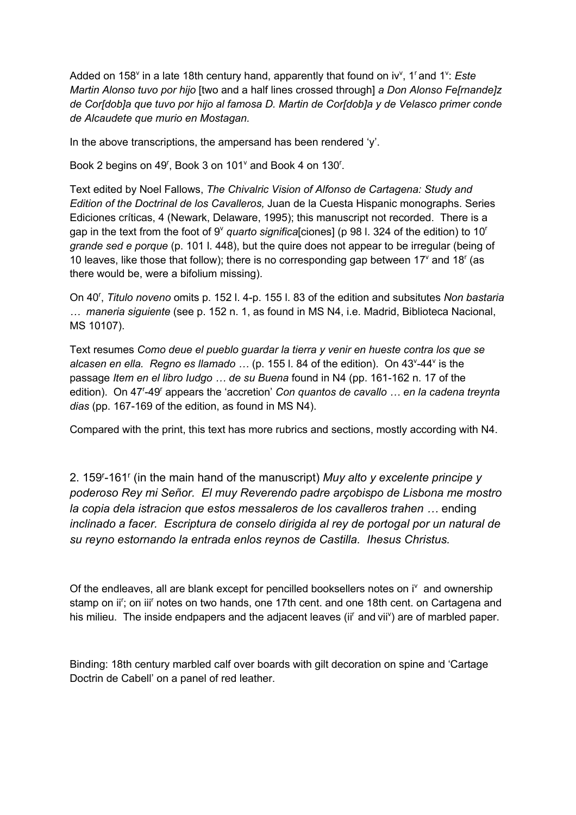Added on 158<sup>v</sup> in a late 18th century hand, apparently that found on iv<sup>v</sup>, 1<sup>r</sup> and 1<sup>v</sup>: *Este Martin Alonso tuvo por hijo* [two and a half lines crossed through] *a Don Alonso Fe[rnande]z de Cor[dob]a que tuvo por hijo al famosa D. Martin de Cor[dob]a y de Velasco primer conde de Alcaudete que murio en Mostagan.*

In the above transcriptions, the ampersand has been rendered 'y'.

Book 2 begins on 49<sup>r</sup>, Book 3 on 101 $^{\circ}$  and Book 4 on 130<sup>r</sup>.

Text edited by Noel Fallows, *The Chivalric Vision of Alfonso de Cartagena: Study and Edition of the Doctrinal de los Cavalleros,* Juan de la Cuesta Hispanic monographs. Series Ediciones críticas, 4 (Newark, Delaware, 1995); this manuscript not recorded. There is a gap in the text from the foot of 9<sup>v</sup> *quarto significa*[ciones] (p 98 l. 324 of the edition) to 10<sup>r</sup> *grande sed e porque* (p. 101 l. 448), but the quire does not appear to be irregular (being of 10 leaves, like those that follow); there is no corresponding gap between  $17^{\circ}$  and  $18^{\circ}$  (as there would be, were a bifolium missing).

On 40<sup>r</sup>, *Titulo noveno* omits p. 152 l. 4-p. 155 l. 83 of the edition and subsitutes Non bastaria *… maneria siguiente* (see p. 152 n. 1, as found in MS N4, i.e. Madrid, Biblioteca Nacional, MS 10107).

Text resumes *Como deue el pueblo guardar la tierra y venir en hueste contra los que se*  alcasen en ella. Regno es llamado ... (p. 155 l. 84 of the edition). On 43<sup>v</sup>-44<sup>v</sup> is the passage *Item en el libro Iudgo … de su Buena* found in N4 (pp. 161-162 n. 17 of the edition). On 47<sup>r</sup>-49<sup>r</sup> appears the 'accretion' *Con quantos de cavallo ... en la cadena treynta dias* (pp. 167-169 of the edition, as found in MS N4).

Compared with the print, this text has more rubrics and sections, mostly according with N4.

2. 159r -161r (in the main hand of the manuscript) *Muy alto y excelente principe y poderoso Rey mi Señor. El muy Reverendo padre arçobispo de Lisbona me mostro la copia dela istracion que estos messaleros de los cavalleros trahen …* ending *inclinado a facer. Escriptura de conselo dirigida al rey de portogal por un natural de su reyno estornando la entrada enlos reynos de Castilla. Ihesus Christus.*

Of the endleaves, all are blank except for pencilled booksellers notes on  $i^v$  and ownership stamp on ii<sup>r</sup>; on iii<sup>r</sup> notes on two hands, one 17th cent. and one 18th cent. on Cartagena and his milieu. The inside endpapers and the adjacent leaves (ii<sup>r</sup> and vii<sup>v</sup>) are of marbled paper.

Binding: 18th century marbled calf over boards with gilt decoration on spine and 'Cartage Doctrin de Cabell' on a panel of red leather.